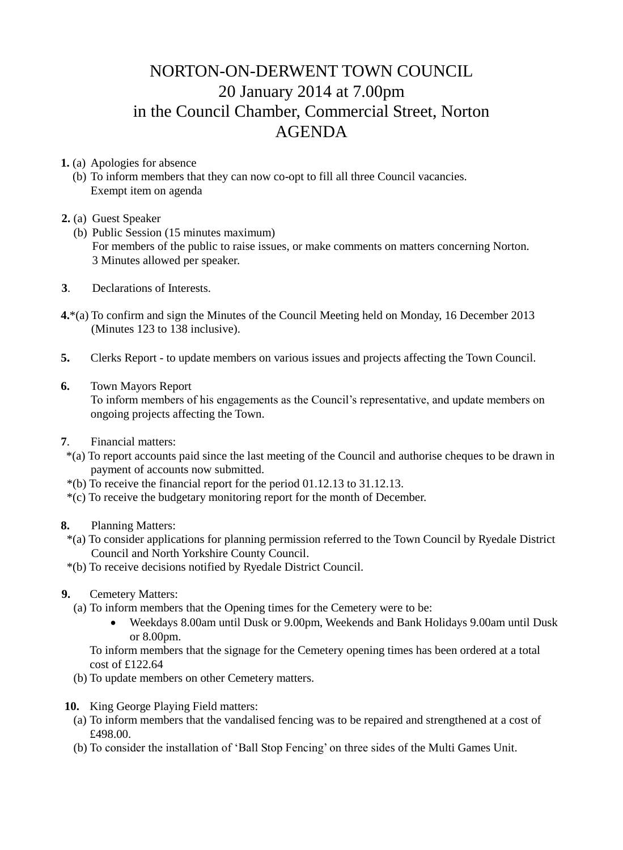## NORTON-ON-DERWENT TOWN COUNCIL 20 January 2014 at 7.00pm in the Council Chamber, Commercial Street, Norton AGENDA

**1.** (a) Apologies for absence

- (b) To inform members that they can now co-opt to fill all three Council vacancies. Exempt item on agenda
- **2.** (a) Guest Speaker
	- (b) Public Session (15 minutes maximum) For members of the public to raise issues, or make comments on matters concerning Norton. 3 Minutes allowed per speaker.
- **3**. Declarations of Interests.
- **4.**\*(a) To confirm and sign the Minutes of the Council Meeting held on Monday, 16 December 2013 (Minutes 123 to 138 inclusive).
- **5.** Clerks Report to update members on various issues and projects affecting the Town Council.
- **6.** Town Mayors Report

 To inform members of his engagements as the Council's representative, and update members on ongoing projects affecting the Town.

- **7**. Financial matters:
- \*(a) To report accounts paid since the last meeting of the Council and authorise cheques to be drawn in payment of accounts now submitted.
- \*(b) To receive the financial report for the period 01.12.13 to 31.12.13.
- \*(c) To receive the budgetary monitoring report for the month of December.
- **8.** Planning Matters:
	- \*(a) To consider applications for planning permission referred to the Town Council by Ryedale District Council and North Yorkshire County Council.
	- \*(b) To receive decisions notified by Ryedale District Council.
- **9.** Cemetery Matters:
	- (a) To inform members that the Opening times for the Cemetery were to be:
		- Weekdays 8.00am until Dusk or 9.00pm, Weekends and Bank Holidays 9.00am until Dusk or 8.00pm.

 To inform members that the signage for the Cemetery opening times has been ordered at a total cost of £122.64

- (b) To update members on other Cemetery matters.
- **10.** King George Playing Field matters:
	- (a) To inform members that the vandalised fencing was to be repaired and strengthened at a cost of £498.00.
	- (b) To consider the installation of 'Ball Stop Fencing' on three sides of the Multi Games Unit.